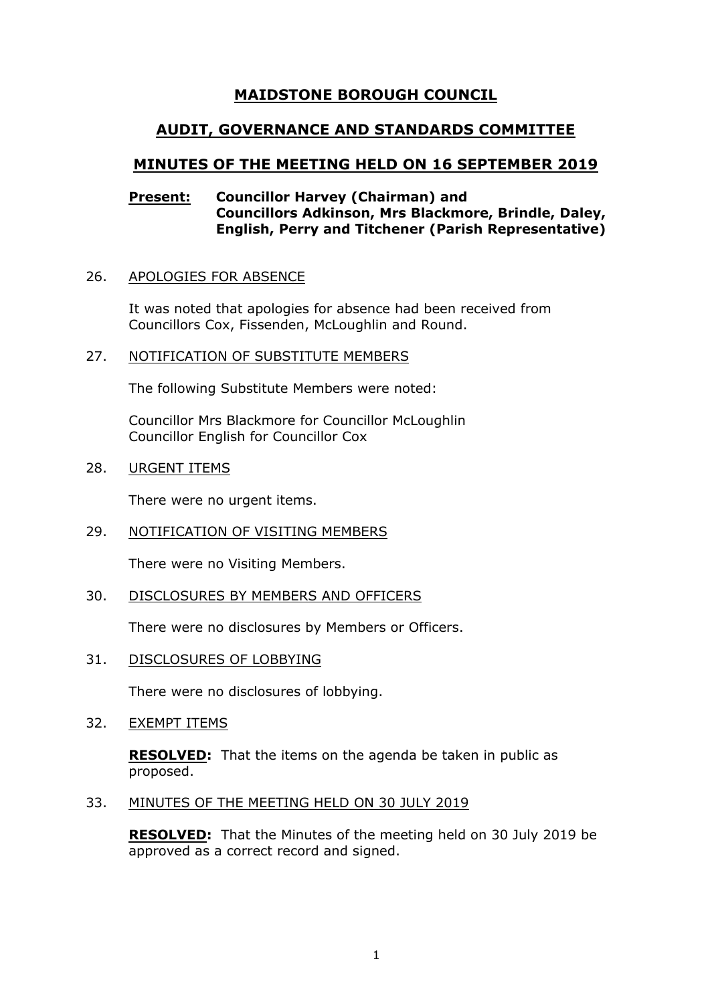# **MAIDSTONE BOROUGH COUNCIL**

# **AUDIT, GOVERNANCE AND STANDARDS COMMITTEE**

# **MINUTES OF THE MEETING HELD ON 16 SEPTEMBER 2019**

# **Present: Councillor Harvey (Chairman) and Councillors Adkinson, Mrs Blackmore, Brindle, Daley, English, Perry and Titchener (Parish Representative)**

## 26. APOLOGIES FOR ABSENCE

It was noted that apologies for absence had been received from Councillors Cox, Fissenden, McLoughlin and Round.

## 27. NOTIFICATION OF SUBSTITUTE MEMBERS

The following Substitute Members were noted:

Councillor Mrs Blackmore for Councillor McLoughlin Councillor English for Councillor Cox

28. URGENT ITEMS

There were no urgent items.

29. NOTIFICATION OF VISITING MEMBERS

There were no Visiting Members.

30. DISCLOSURES BY MEMBERS AND OFFICERS

There were no disclosures by Members or Officers.

31. DISCLOSURES OF LOBBYING

There were no disclosures of lobbying.

32. EXEMPT ITEMS

**RESOLVED:** That the items on the agenda be taken in public as proposed.

33. MINUTES OF THE MEETING HELD ON 30 JULY 2019

**RESOLVED:** That the Minutes of the meeting held on 30 July 2019 be approved as a correct record and signed.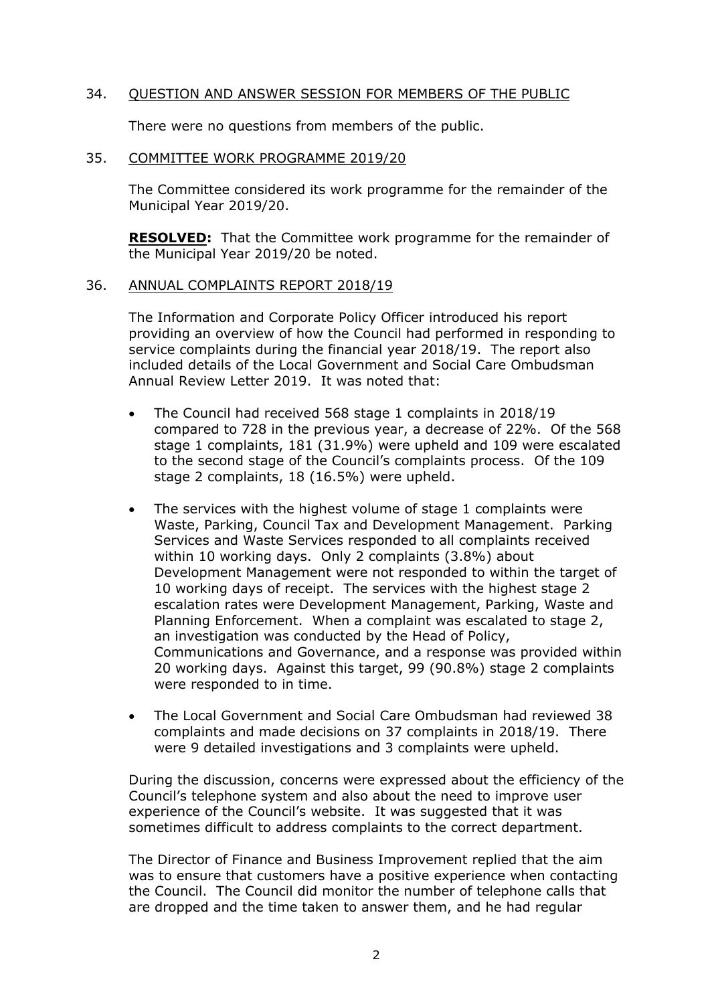## 34. QUESTION AND ANSWER SESSION FOR MEMBERS OF THE PUBLIC

There were no questions from members of the public.

#### 35. COMMITTEE WORK PROGRAMME 2019/20

The Committee considered its work programme for the remainder of the Municipal Year 2019/20.

**RESOLVED:** That the Committee work programme for the remainder of the Municipal Year 2019/20 be noted.

#### 36. ANNUAL COMPLAINTS REPORT 2018/19

The Information and Corporate Policy Officer introduced his report providing an overview of how the Council had performed in responding to service complaints during the financial year 2018/19. The report also included details of the Local Government and Social Care Ombudsman Annual Review Letter 2019. It was noted that:

- The Council had received 568 stage 1 complaints in 2018/19 compared to 728 in the previous year, a decrease of 22%. Of the 568 stage 1 complaints, 181 (31.9%) were upheld and 109 were escalated to the second stage of the Council's complaints process. Of the 109 stage 2 complaints, 18 (16.5%) were upheld.
- The services with the highest volume of stage 1 complaints were Waste, Parking, Council Tax and Development Management. Parking Services and Waste Services responded to all complaints received within 10 working days. Only 2 complaints (3.8%) about Development Management were not responded to within the target of 10 working days of receipt. The services with the highest stage 2 escalation rates were Development Management, Parking, Waste and Planning Enforcement. When a complaint was escalated to stage 2, an investigation was conducted by the Head of Policy, Communications and Governance, and a response was provided within 20 working days. Against this target, 99 (90.8%) stage 2 complaints were responded to in time.
- The Local Government and Social Care Ombudsman had reviewed 38 complaints and made decisions on 37 complaints in 2018/19. There were 9 detailed investigations and 3 complaints were upheld.

During the discussion, concerns were expressed about the efficiency of the Council's telephone system and also about the need to improve user experience of the Council's website. It was suggested that it was sometimes difficult to address complaints to the correct department.

The Director of Finance and Business Improvement replied that the aim was to ensure that customers have a positive experience when contacting the Council. The Council did monitor the number of telephone calls that are dropped and the time taken to answer them, and he had regular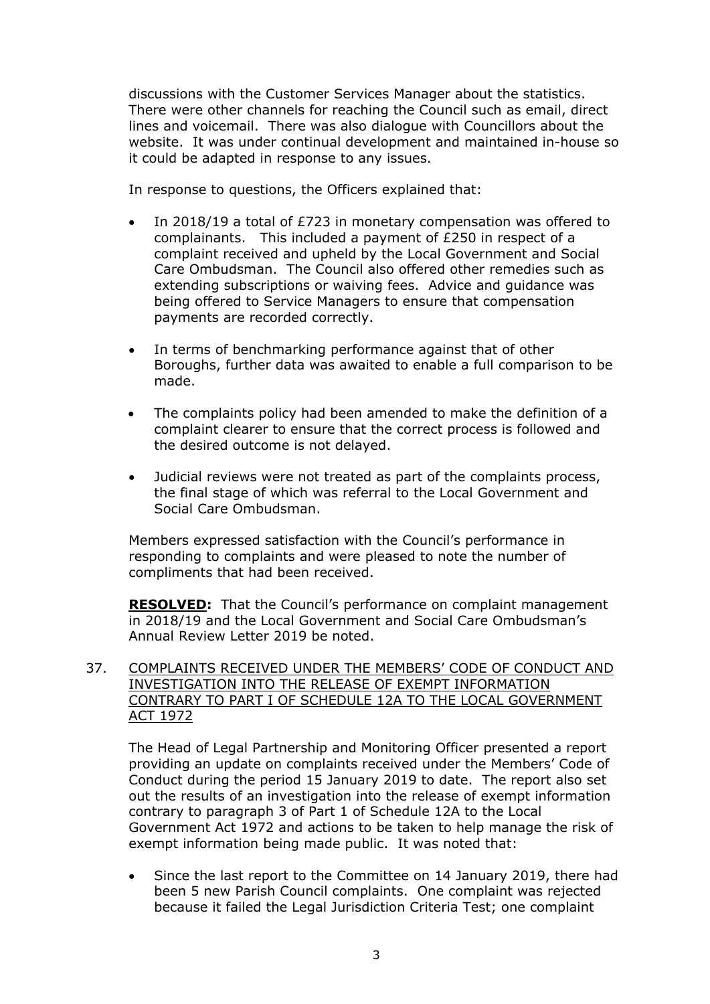discussions with the Customer Services Manager about the statistics. There were other channels for reaching the Council such as email, direct lines and voicemail. There was also dialogue with Councillors about the website. It was under continual development and maintained in-house so it could be adapted in response to any issues.

In response to questions, the Officers explained that:

- In 2018/19 a total of £723 in monetary compensation was offered to complainants. This included a payment of £250 in respect of a complaint received and upheld by the Local Government and Social Care Ombudsman. The Council also offered other remedies such as extending subscriptions or waiving fees. Advice and guidance was being offered to Service Managers to ensure that compensation payments are recorded correctly.
- In terms of benchmarking performance against that of other Boroughs, further data was awaited to enable a full comparison to be made.
- The complaints policy had been amended to make the definition of a complaint clearer to ensure that the correct process is followed and the desired outcome is not delayed.
- Judicial reviews were not treated as part of the complaints process, the final stage of which was referral to the Local Government and Social Care Ombudsman.

Members expressed satisfaction with the Council's performance in responding to complaints and were pleased to note the number of compliments that had been received.

**RESOLVED:** That the Council's performance on complaint management in 2018/19 and the Local Government and Social Care Ombudsman's Annual Review Letter 2019 be noted.

# 37. COMPLAINTS RECEIVED UNDER THE MEMBERS' CODE OF CONDUCT AND INVESTIGATION INTO THE RELEASE OF EXEMPT INFORMATION CONTRARY TO PART I OF SCHEDULE 12A TO THE LOCAL GOVERNMENT ACT 1972

The Head of Legal Partnership and Monitoring Officer presented a report providing an update on complaints received under the Members' Code of Conduct during the period 15 January 2019 to date. The report also set out the results of an investigation into the release of exempt information contrary to paragraph 3 of Part 1 of Schedule 12A to the Local Government Act 1972 and actions to be taken to help manage the risk of exempt information being made public. It was noted that:

 Since the last report to the Committee on 14 January 2019, there had been 5 new Parish Council complaints. One complaint was rejected because it failed the Legal Jurisdiction Criteria Test; one complaint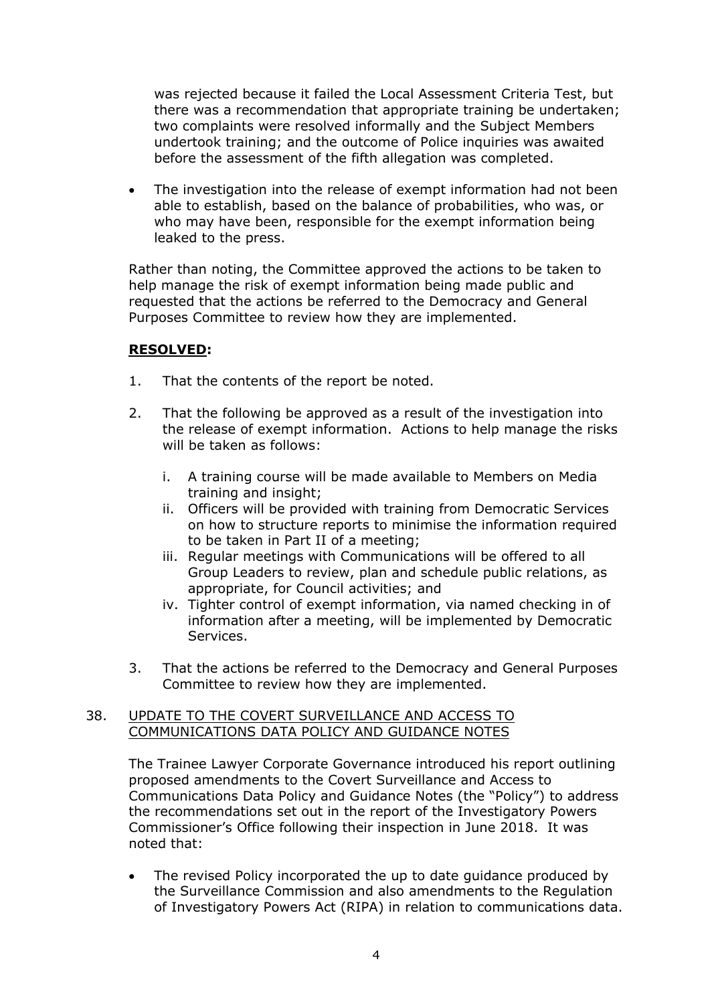was rejected because it failed the Local Assessment Criteria Test, but there was a recommendation that appropriate training be undertaken; two complaints were resolved informally and the Subject Members undertook training; and the outcome of Police inquiries was awaited before the assessment of the fifth allegation was completed.

 The investigation into the release of exempt information had not been able to establish, based on the balance of probabilities, who was, or who may have been, responsible for the exempt information being leaked to the press.

Rather than noting, the Committee approved the actions to be taken to help manage the risk of exempt information being made public and requested that the actions be referred to the Democracy and General Purposes Committee to review how they are implemented.

# **RESOLVED:**

- 1. That the contents of the report be noted.
- 2. That the following be approved as a result of the investigation into the release of exempt information. Actions to help manage the risks will be taken as follows:
	- i. A training course will be made available to Members on Media training and insight;
	- ii. Officers will be provided with training from Democratic Services on how to structure reports to minimise the information required to be taken in Part II of a meeting;
	- iii. Regular meetings with Communications will be offered to all Group Leaders to review, plan and schedule public relations, as appropriate, for Council activities; and
	- iv. Tighter control of exempt information, via named checking in of information after a meeting, will be implemented by Democratic Services.
- 3. That the actions be referred to the Democracy and General Purposes Committee to review how they are implemented.

## 38. UPDATE TO THE COVERT SURVEILLANCE AND ACCESS TO COMMUNICATIONS DATA POLICY AND GUIDANCE NOTES

The Trainee Lawyer Corporate Governance introduced his report outlining proposed amendments to the Covert Surveillance and Access to Communications Data Policy and Guidance Notes (the "Policy") to address the recommendations set out in the report of the Investigatory Powers Commissioner's Office following their inspection in June 2018. It was noted that:

 The revised Policy incorporated the up to date guidance produced by the Surveillance Commission and also amendments to the Regulation of Investigatory Powers Act (RIPA) in relation to communications data.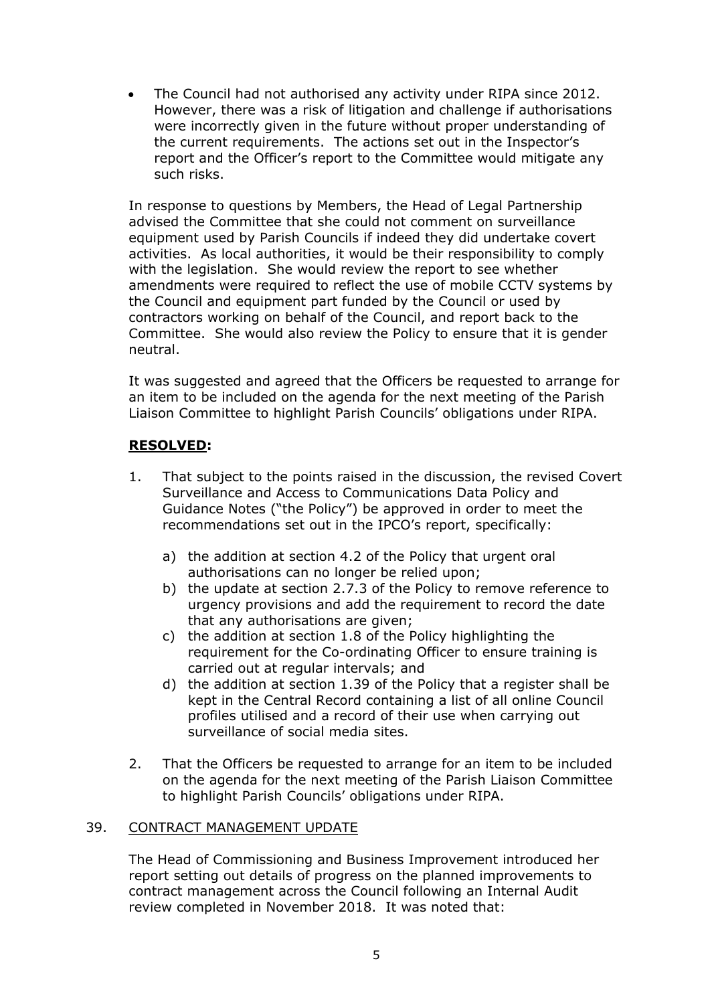The Council had not authorised any activity under RIPA since 2012. However, there was a risk of litigation and challenge if authorisations were incorrectly given in the future without proper understanding of the current requirements. The actions set out in the Inspector's report and the Officer's report to the Committee would mitigate any such risks.

In response to questions by Members, the Head of Legal Partnership advised the Committee that she could not comment on surveillance equipment used by Parish Councils if indeed they did undertake covert activities. As local authorities, it would be their responsibility to comply with the legislation. She would review the report to see whether amendments were required to reflect the use of mobile CCTV systems by the Council and equipment part funded by the Council or used by contractors working on behalf of the Council, and report back to the Committee. She would also review the Policy to ensure that it is gender neutral.

It was suggested and agreed that the Officers be requested to arrange for an item to be included on the agenda for the next meeting of the Parish Liaison Committee to highlight Parish Councils' obligations under RIPA.

# **RESOLVED:**

- 1. That subject to the points raised in the discussion, the revised Covert Surveillance and Access to Communications Data Policy and Guidance Notes ("the Policy") be approved in order to meet the recommendations set out in the IPCO's report, specifically:
	- a) the addition at section 4.2 of the Policy that urgent oral authorisations can no longer be relied upon;
	- b) the update at section 2.7.3 of the Policy to remove reference to urgency provisions and add the requirement to record the date that any authorisations are given;
	- c) the addition at section 1.8 of the Policy highlighting the requirement for the Co-ordinating Officer to ensure training is carried out at regular intervals; and
	- d) the addition at section 1.39 of the Policy that a register shall be kept in the Central Record containing a list of all online Council profiles utilised and a record of their use when carrying out surveillance of social media sites.
- 2. That the Officers be requested to arrange for an item to be included on the agenda for the next meeting of the Parish Liaison Committee to highlight Parish Councils' obligations under RIPA.

# 39. CONTRACT MANAGEMENT UPDATE

The Head of Commissioning and Business Improvement introduced her report setting out details of progress on the planned improvements to contract management across the Council following an Internal Audit review completed in November 2018. It was noted that: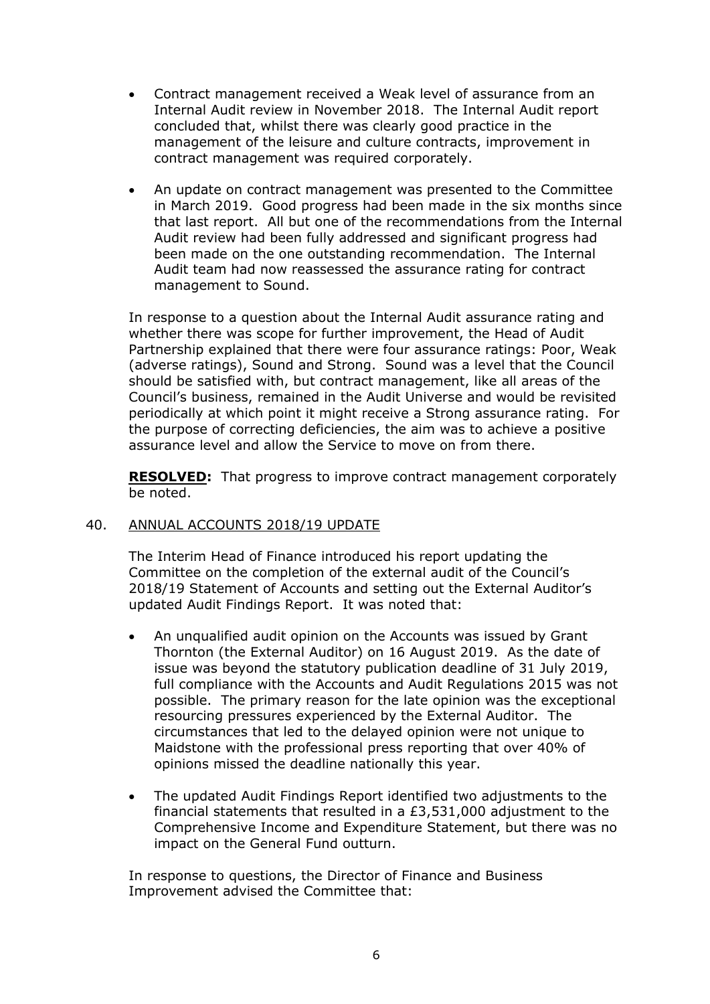- Contract management received a Weak level of assurance from an Internal Audit review in November 2018. The Internal Audit report concluded that, whilst there was clearly good practice in the management of the leisure and culture contracts, improvement in contract management was required corporately.
- An update on contract management was presented to the Committee in March 2019. Good progress had been made in the six months since that last report. All but one of the recommendations from the Internal Audit review had been fully addressed and significant progress had been made on the one outstanding recommendation. The Internal Audit team had now reassessed the assurance rating for contract management to Sound.

In response to a question about the Internal Audit assurance rating and whether there was scope for further improvement, the Head of Audit Partnership explained that there were four assurance ratings: Poor, Weak (adverse ratings), Sound and Strong. Sound was a level that the Council should be satisfied with, but contract management, like all areas of the Council's business, remained in the Audit Universe and would be revisited periodically at which point it might receive a Strong assurance rating. For the purpose of correcting deficiencies, the aim was to achieve a positive assurance level and allow the Service to move on from there.

**RESOLVED:** That progress to improve contract management corporately be noted.

## 40. ANNUAL ACCOUNTS 2018/19 UPDATE

The Interim Head of Finance introduced his report updating the Committee on the completion of the external audit of the Council's 2018/19 Statement of Accounts and setting out the External Auditor's updated Audit Findings Report. It was noted that:

- An unqualified audit opinion on the Accounts was issued by Grant Thornton (the External Auditor) on 16 August 2019. As the date of issue was beyond the statutory publication deadline of 31 July 2019, full compliance with the Accounts and Audit Regulations 2015 was not possible. The primary reason for the late opinion was the exceptional resourcing pressures experienced by the External Auditor. The circumstances that led to the delayed opinion were not unique to Maidstone with the professional press reporting that over 40% of opinions missed the deadline nationally this year.
- The updated Audit Findings Report identified two adjustments to the financial statements that resulted in a £3,531,000 adjustment to the Comprehensive Income and Expenditure Statement, but there was no impact on the General Fund outturn.

In response to questions, the Director of Finance and Business Improvement advised the Committee that: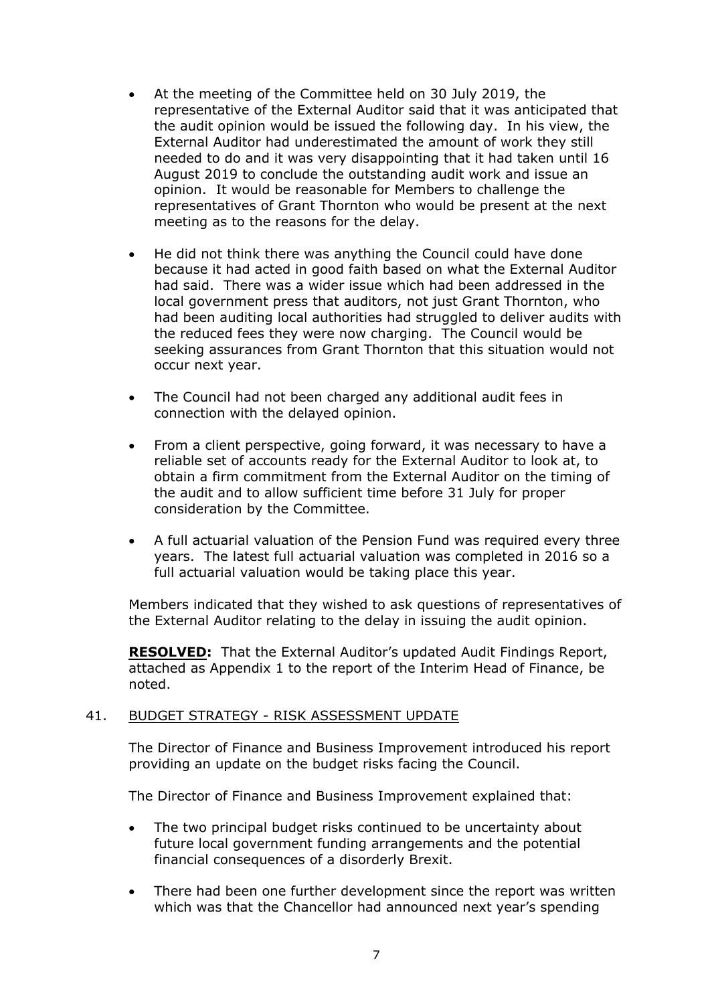- At the meeting of the Committee held on 30 July 2019, the representative of the External Auditor said that it was anticipated that the audit opinion would be issued the following day. In his view, the External Auditor had underestimated the amount of work they still needed to do and it was very disappointing that it had taken until 16 August 2019 to conclude the outstanding audit work and issue an opinion. It would be reasonable for Members to challenge the representatives of Grant Thornton who would be present at the next meeting as to the reasons for the delay.
- He did not think there was anything the Council could have done because it had acted in good faith based on what the External Auditor had said. There was a wider issue which had been addressed in the local government press that auditors, not just Grant Thornton, who had been auditing local authorities had struggled to deliver audits with the reduced fees they were now charging. The Council would be seeking assurances from Grant Thornton that this situation would not occur next year.
- The Council had not been charged any additional audit fees in connection with the delayed opinion.
- From a client perspective, going forward, it was necessary to have a reliable set of accounts ready for the External Auditor to look at, to obtain a firm commitment from the External Auditor on the timing of the audit and to allow sufficient time before 31 July for proper consideration by the Committee.
- A full actuarial valuation of the Pension Fund was required every three years. The latest full actuarial valuation was completed in 2016 so a full actuarial valuation would be taking place this year.

Members indicated that they wished to ask questions of representatives of the External Auditor relating to the delay in issuing the audit opinion.

**RESOLVED:** That the External Auditor's updated Audit Findings Report, attached as Appendix 1 to the report of the Interim Head of Finance, be noted.

## 41. BUDGET STRATEGY - RISK ASSESSMENT UPDATE

The Director of Finance and Business Improvement introduced his report providing an update on the budget risks facing the Council.

The Director of Finance and Business Improvement explained that:

- The two principal budget risks continued to be uncertainty about future local government funding arrangements and the potential financial consequences of a disorderly Brexit.
- There had been one further development since the report was written which was that the Chancellor had announced next year's spending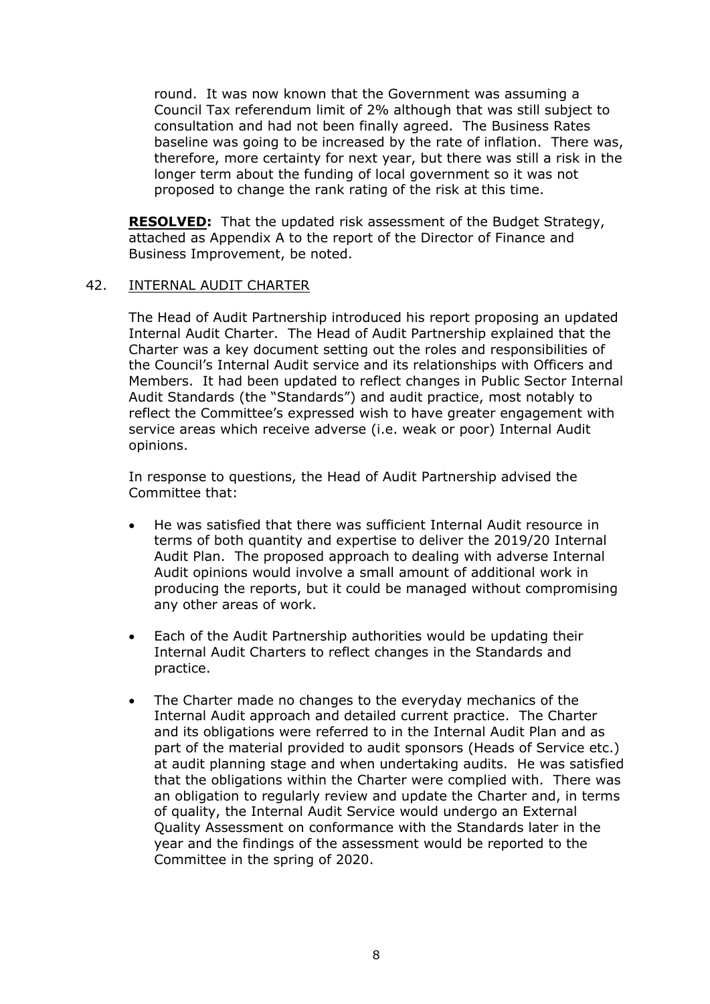round. It was now known that the Government was assuming a Council Tax referendum limit of 2% although that was still subject to consultation and had not been finally agreed. The Business Rates baseline was going to be increased by the rate of inflation. There was, therefore, more certainty for next year, but there was still a risk in the longer term about the funding of local government so it was not proposed to change the rank rating of the risk at this time.

**RESOLVED:** That the updated risk assessment of the Budget Strategy, attached as Appendix A to the report of the Director of Finance and Business Improvement, be noted.

## 42. INTERNAL AUDIT CHARTER

The Head of Audit Partnership introduced his report proposing an updated Internal Audit Charter. The Head of Audit Partnership explained that the Charter was a key document setting out the roles and responsibilities of the Council's Internal Audit service and its relationships with Officers and Members. It had been updated to reflect changes in Public Sector Internal Audit Standards (the "Standards") and audit practice, most notably to reflect the Committee's expressed wish to have greater engagement with service areas which receive adverse (i.e. weak or poor) Internal Audit opinions.

In response to questions, the Head of Audit Partnership advised the Committee that:

- He was satisfied that there was sufficient Internal Audit resource in terms of both quantity and expertise to deliver the 2019/20 Internal Audit Plan. The proposed approach to dealing with adverse Internal Audit opinions would involve a small amount of additional work in producing the reports, but it could be managed without compromising any other areas of work.
- Each of the Audit Partnership authorities would be updating their Internal Audit Charters to reflect changes in the Standards and practice.
- The Charter made no changes to the everyday mechanics of the Internal Audit approach and detailed current practice. The Charter and its obligations were referred to in the Internal Audit Plan and as part of the material provided to audit sponsors (Heads of Service etc.) at audit planning stage and when undertaking audits. He was satisfied that the obligations within the Charter were complied with. There was an obligation to regularly review and update the Charter and, in terms of quality, the Internal Audit Service would undergo an External Quality Assessment on conformance with the Standards later in the year and the findings of the assessment would be reported to the Committee in the spring of 2020.